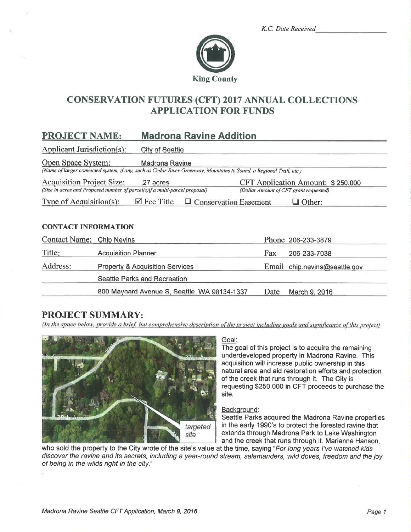|  | K.C. Date Received |
|--|--------------------|
|  |                    |



# **CONSERVATION FUTURES (CFT) 2017 ANNUAL COLLECTIONS APPLICATION FOR FUNDS**

#### PROJECT NAME: **Madrona Ravine Addition**

**Applicant Jurisdiction(s): City of Seattle** 

Open Space System: **Madrona Ravine** 

(Name of larger connected system, if any, such as Cedar River Greenway, Mountains to Sound, a Regional Trail, etc.)

**Acquisition Project Size:** .27 acres CFT Application Amount: \$250,000 (Size in acres and Proposed number of parcel(s) if a multi-parcel proposal) (Dollar Amount of CFT grant requested)

Type of Acquisition(s):  $\boxtimes$  Fee Title  $\Box$  Conservation Easement  $\Box$  Other:

## **CONTACT INFORMATION**

| Contact Name: Chip Nevins |                                              |      | Phone 206-233-3879            |
|---------------------------|----------------------------------------------|------|-------------------------------|
| Title:                    | <b>Acquisition Planner</b>                   | Fax  | 206-233-7038                  |
| Address:                  | <b>Property &amp; Acquisition Services</b>   |      | Email chip.nevins@seattle.gov |
|                           | Seattle Parks and Recreation                 |      |                               |
|                           | 800 Maynard Avenue S, Seattle, WA 98134-1337 | Date | March 9, 2016                 |

# **PROJECT SUMMARY:**

(In the space below, provide a brief, but comprehensive description of the project including goals and significance of this project)



#### Goal:

The goal of this project is to acquire the remaining underdeveloped property in Madrona Ravine. This acquisition will increase public ownership in this natural area and aid restoration efforts and protection of the creek that runs through it. The City is requesting \$250,000 in CFT proceeds to purchase the site.

### Background:

Seattle Parks acquired the Madrona Ravine properties in the early 1990's to protect the forested ravine that extends through Madrona Park to Lake Washington and the creek that runs through it. Marianne Hanson.

who sold the property to the City wrote of the site's value at the time, saying "For long years I've watched kids discover the ravine and its secrets, including a year-round stream, salamanders, wild doves, freedom and the joy of being in the wilds right in the city."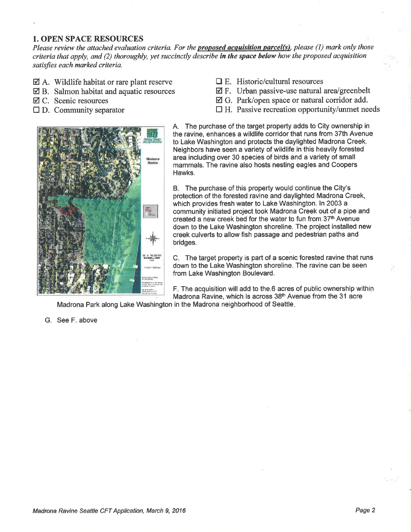## 1. OPEN SPACE RESOURCES

Please review the attached evaluation criteria. For the **proposed acquisition parcel(s)**, please (1) mark only those criteria that apply, and (2) thoroughly, yet succinctly describe in the space below how the proposed acquisition satisfies each marked criteria.

- $\boxtimes$  A. Wildlife habitat or rare plant reserve
- $\boxtimes$  B. Salmon habitat and aquatic resources
- Ø C. Scenic resources
- $\square$  D. Community separator
- $\Box$  E. Historic/cultural resources
- $\boxtimes$  F. Urban passive-use natural area/greenbelt
- $\boxtimes$  G. Park/open space or natural corridor add.
- $\Box$  H. Passive recreation opportunity/unmet needs



A. The purchase of the target property adds to City ownership in the ravine, enhances a wildlife corridor that runs from 37th Avenue to Lake Washington and protects the daylighted Madrona Creek. Neighbors have seen a variety of wildlife in this heavily forested area including over 30 species of birds and a variety of small mammals. The ravine also hosts nesting eagles and Coopers Hawks.

B. The purchase of this property would continue the City's protection of the forested ravine and daylighted Madrona Creek, which provides fresh water to Lake Washington. ln 2003 a community initiated project took Madrona Creek out of a pipe and created a new creek bed for the water to fun from 37th Avenue down to the Lake Washington shoreline. The project installed new creek culverts to allow fish passage and pedestrian paths and bridges.

C. The target property is part of a scenic forested ravine that runs down to the Lake Washington shoreline. The ravine can be seen from Lake Washington Boulevard.

F. The acquisition willadd to the.6 acres of public ownership within Madrona Ravine, which is across 38<sup>th</sup> Avenue from the 31 acre

G. See F. above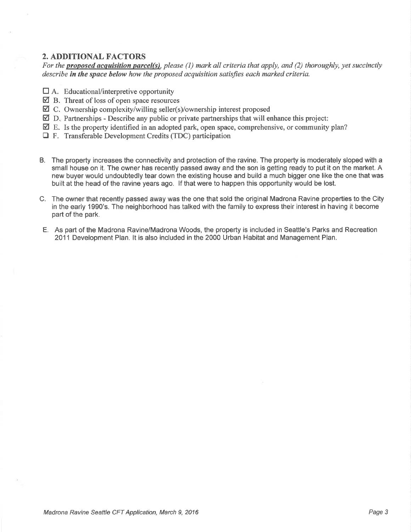# 2. ADDITIONAL FACTORS

For the **proposed acquisition parcel(s)**, please (1) mark all criteria that apply, and (2) thoroughly, yet succinctly describe in the space below how the proposed acquisition satisfies each marked criteria.

- $\Box$  A. Educational/interpretive opportunity
- $\boxtimes$  B. Threat of loss of open space resources
- $\overrightarrow{a}$  C. Ownership complexity/willing seller(s)/ownership interest proposed
- $\overline{\mathbf{Q}}$  D. Partnerships Describe any public or private partnerships that will enhance this project:
- $\boxtimes$  E. Is the property identified in an adopted park, open space, comprehensive, or community plan?
- DF. Transferable Development Credits (TDC) participation
- B. The property increases the connectivity and protection of the ravine. The property is moderately sloped with <sup>a</sup> small house on it. The owner has recently passed away and the son is getting ready to put it on the market. A new buyer would undoubtedly tear down the existing house and build a much bigger one like the one that was built at the head of the ravine years ago. lf that were to happen this opportunity would be lost.
- C. The owner that recently passed away was the one that sold the original Madrona Ravine properties to the City in the early 1990's. The neighborhood has talked with the family to express their interest in having it become part of the park.
- E. As part of the Madrona Ravine/Madrona Woods, the property is included in Seattle's Parks and Recreation 2011 Development Plan. lt is also included in the 2000 Urban Habitat and Management Plan.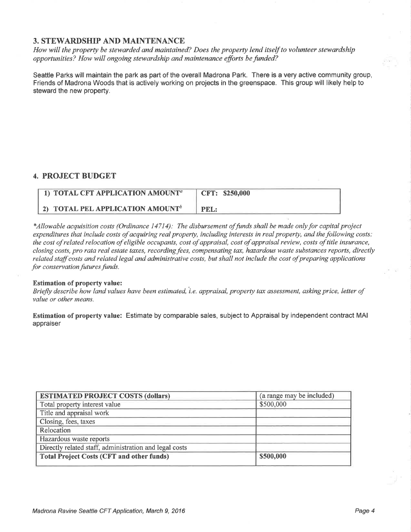# 3. STEWARDSHIP AND MAINTENANCE

How will the property be stewarded and maintained? Does the property lend itself to volunteer stewardship opportunities? How will ongoing stewardship and maintenance efforts be funded?

Seattle Parks will maintain the park as part of the overall Madrona Park. There is a very active community group, Friends of Madrona Woods that is actively working on projects in the greenspace. This group will likely help to steward the new property.

# 4. PROJECT BUDGET

| 1) TOTAL CFT APPLICATION AMOUNT <sup>a</sup> | CFT: \$250,000 |
|----------------------------------------------|----------------|
| 2) TOTAL PEL APPLICATION AMOUNT <sup>b</sup> | <b>PEL:</b>    |

\*Allowable acquisition costs (Ordinance 14714): The disbursement of funds shall be made only for capital project expenditures that include costs of acquiring real property, including interests in real property, and the following costs: the cost of related relocation of eligible occupants, cost of appraisal, cost of appraisal review, costs of title insurance, closing costs, pro rata real estate taxes, recording fees, compensating tax, hazardous waste substances reports, directly related staff costs and related legal and administrative costs, but shall not include the cost of preparing applications for conservation futures funds.

#### Estimation of property value:

Briefly describe how land values have been estimated, i.e. appraisal, property tax assessment, asking price, letter of value or other means.

Estimation of property value: Estimate by comparable sales, subject to Appraisal by independent contract MAI appraiser

| <b>ESTIMATED PROJECT COSTS (dollars)</b>               | (a range may be included) |
|--------------------------------------------------------|---------------------------|
| Total property interest value                          | \$500,000                 |
| Title and appraisal work                               |                           |
| Closing, fees, taxes                                   |                           |
| Relocation                                             |                           |
| Hazardous waste reports                                |                           |
| Directly related staff, administration and legal costs |                           |
| <b>Total Project Costs (CFT and other funds)</b>       | \$500,000                 |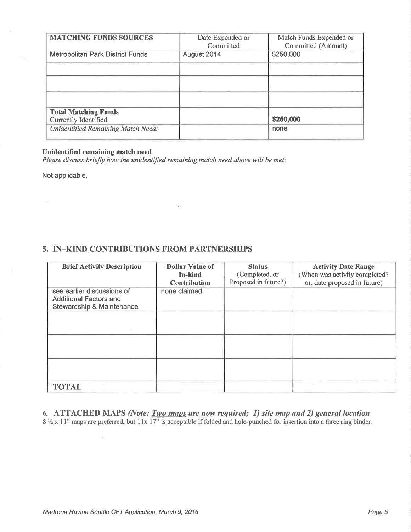| <b>MATCHING FUNDS SOURCES</b>           | Date Expended or<br>Committed | Match Funds Expended or<br>Committed (Amount) |
|-----------------------------------------|-------------------------------|-----------------------------------------------|
| <b>Metropolitan Park District Funds</b> | August 2014                   | \$250,000                                     |
|                                         |                               |                                               |
|                                         |                               |                                               |
|                                         |                               |                                               |
| <b>Total Matching Funds</b>             |                               |                                               |
| Currently Identified                    |                               | \$250,000                                     |
| Unidentified Remaining Match Need:      |                               | none                                          |

### Unidentified remaining match need

Please discuss briefly how the unidentified remaining match need above will be met:

 $\widehat{\mathbf{Y}}$ 

Not applicable.

# 5. IN\_KIND CONTRIBUTIONS FROM PARTNERSHIPS

| <b>Brief Activity Description</b>                                                        | <b>Dollar Value of</b><br>In-kind<br><b>Contribution</b> | <b>Status</b><br>(Completed, or<br>Proposed in future?) | <b>Activity Date Range</b><br>(When was activity completed?<br>or, date proposed in future) |
|------------------------------------------------------------------------------------------|----------------------------------------------------------|---------------------------------------------------------|---------------------------------------------------------------------------------------------|
| see earlier discussions of<br><b>Additional Factors and</b><br>Stewardship & Maintenance | none claimed                                             |                                                         |                                                                                             |
|                                                                                          |                                                          |                                                         |                                                                                             |
|                                                                                          |                                                          |                                                         |                                                                                             |
|                                                                                          |                                                          |                                                         |                                                                                             |
| <b>TOTAL</b>                                                                             |                                                          |                                                         |                                                                                             |

6. ATTACHED MAPS (Note: <u>Two maps</u> are now required; 1) site map and 2) general location  $8\frac{1}{2}$  x 11" maps are preferred, but 11x 17" is acceptable if folded and hole-punched for insertion into a three ring binder

ò.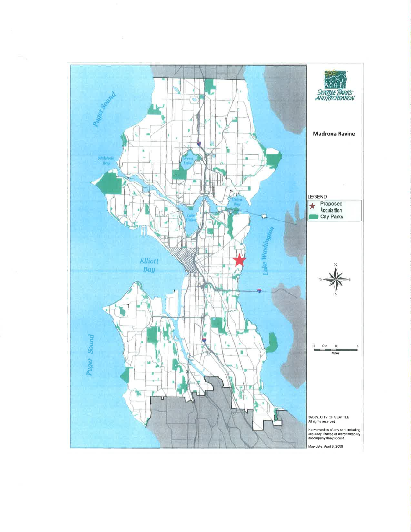